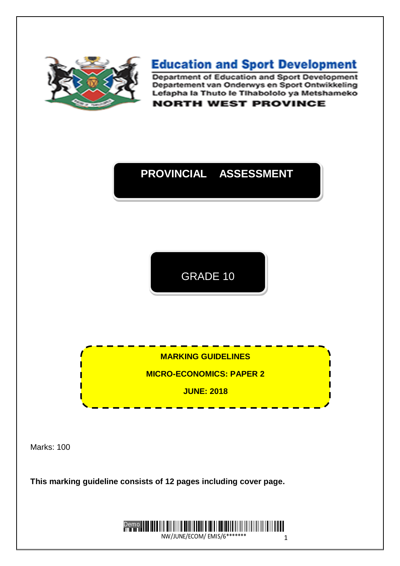

# **Education and Sport Development**

Department of Education and Sport Development Departement van Onderwys en Sport Ontwikkeling Lefapha la Thuto le Tihabololo ya Metshameko **NORTH WEST PROVINCE** 

# **PROVINCIAL ASSESSMENT**

GRADE 10

**MARKING GUIDELINES**

**MICRO-ECONOMICS: PAPER 2**

**JUNE: 2018**

Marks: 100

**This marking guideline consists of 12 pages including cover page.**

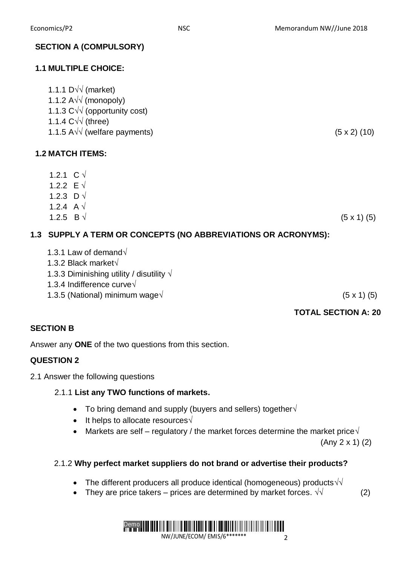### **SECTION A (COMPULSORY)**

### **1.1 MULTIPLE CHOICE:**

| 1.1.1 $D\sqrt{v}$ (market)                 |                     |
|--------------------------------------------|---------------------|
| 1.1.2 $A\sqrt{2}$ (monopoly)               |                     |
| 1.1.3 $C\sqrt{\sqrt{}}$ (opportunity cost) |                     |
| 1.1.4 $C\sqrt{\sqrt{t}}$ (three)           |                     |
| 1.1.5 A $\sqrt{v}$ (welfare payments)      | $(5 \times 2)$ (10) |
| <b>1.2 MATCH ITEMS:</b>                    |                     |

#### 1.2.2 E  $\sqrt{ }$ 1.2.3 D  $\sqrt{ }$

1.2.4 A  $\sqrt{ }$ 

1.2.1 C  $\sqrt$ 

1.2.5 B √ (5 x 1) (5)

# **1.3 SUPPLY A TERM OR CONCEPTS (NO ABBREVIATIONS OR ACRONYMS):**

| 1.3.1 Law of demand $\sqrt{}$ |  |
|-------------------------------|--|
|-------------------------------|--|

- 1.3.2 Black market√
- 1.3.3 Diminishing utility / disutility  $\sqrt{ }$
- 1.3.4 Indifference curve√
- 1.3.5 (National) minimum wage√ (5 x 1) (5)

## **TOTAL SECTION A: 20**

### **SECTION B**

Answer any **ONE** of the two questions from this section.

## **QUESTION 2**

2.1 Answer the following questions

### 2.1.1 **List any TWO functions of markets.**

- $\bullet$  To bring demand and supply (buyers and sellers) together $\sqrt{ }$
- It helps to allocate resources  $\sqrt{ }$
- Markets are self regulatory / the market forces determine the market price $\sqrt{ }$

(Any 2 x 1) (2)

### 2.1.2 **Why perfect market suppliers do not brand or advertise their products?**

- The different producers all produce identical (homogeneous) products $\sqrt{\sqrt{ }}$
- They are price takers prices are determined by market forces.  $\sqrt{1}$  (2)

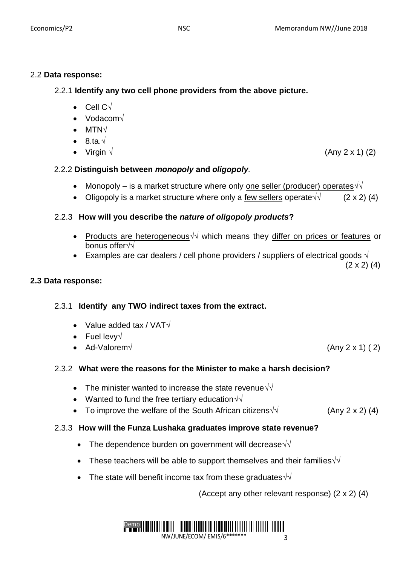# 2.2 **Data response:**

2.2.1 **Identify any two cell phone providers from the above picture.**

- Cell C√
- Vodacom√
- MTN√
- $\bullet$  8.ta. $\sqrt{ }$
- Virgin  $\sqrt{ }$  (Any 2 x 1) (2)

# 2.2.2 **Distinguish between** *monopoly* **and** *oligopoly.*

- Monopoly is a market structure where only one seller (producer) operates $\sqrt{\sqrt{ }}$
- Oligopoly is a market structure where only a few sellers operate  $\sqrt{2 \times 2}$  (4)

# 2.2.3 **How will you describe the** *nature of oligopoly products***?**

- Products are heterogeneous√ which means they differ on prices or features or bonus offer√√
- Examples are car dealers / cell phone providers / suppliers of electrical goods  $\sqrt{ }$

 $(2 \times 2)$  (4)

# **2.3 Data response:**

# 2.3.1 **Identify any TWO indirect taxes from the extract.**

- Value added tax / VAT√
- Fuel levy√
- $\bullet$  Ad-Valorem√ (Any 2 x 1) (2)

# 2.3.2 **What were the reasons for the Minister to make a harsh decision?**

- The minister wanted to increase the state revenue  $\sqrt{\sqrt{2}}$
- Wanted to fund the free tertiary education  $\sqrt{\sqrt{}}$
- To improve the welfare of the South African citizens  $\sqrt{$  (Any 2 x 2) (4)

# 2.3.3 **How will the Funza Lushaka graduates improve state revenue?**

- The dependence burden on government will decrease  $\sqrt{\sqrt{2}}$
- These teachers will be able to support themselves and their families $\sqrt{\sqrt{2}}$
- The state will benefit income tax from these graduates $\sqrt{\sqrt{ }}$

(Accept any other relevant response) (2 x 2) (4)

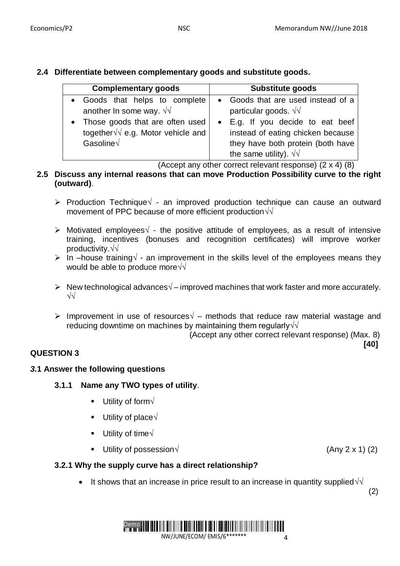**2.4 Differentiate between complementary goods and substitute goods.**

| <b>Complementary goods</b>                                                                   | <b>Substitute goods</b>                                                                                                                     |  |  |  |  |  |
|----------------------------------------------------------------------------------------------|---------------------------------------------------------------------------------------------------------------------------------------------|--|--|--|--|--|
| • Goods that helps to complete<br>another In some way. $\sqrt{v}$                            | • Goods that are used instead of a<br>particular goods. $\sqrt{v}$                                                                          |  |  |  |  |  |
| • Those goods that are often used<br>together $\sqrt{v}$ e.g. Motor vehicle and<br>Gasoline√ | • E.g. If you decide to eat beef<br>instead of eating chicken because<br>they have both protein (both have<br>the same utility). $\sqrt{v}$ |  |  |  |  |  |

(Accept any other correct relevant response) (2 x 4) (8)

### **2.5 Discuss any internal reasons that can move Production Possibility curve to the right (outward)**.

- Production Technique√ an improved production technique can cause an outward movement of PPC because of more efficient production√√
- Motivated employees√ the positive attitude of employees, as a result of intensive training, incentives (bonuses and recognition certificates) will improve worker productivity.√√
- In –house training√ an improvement in the skills level of the employees means they would be able to produce more√√
- New technological advances√ improved machines that work faster and more accurately. √√
- Improvement in use of resources√ methods that reduce raw material wastage and reducing downtime on machines by maintaining them regularly√√

(Accept any other correct relevant response) (Max. 8)

**[40]**

## **QUESTION 3**

### *3.***1 Answer the following questions**

- **3.1.1 Name any TWO types of utility**.
	- **Utility of form** $\sqrt{ }$
	- Utility of place $\sqrt{ }$
	- Utility of time $\sqrt{ }$
	- Utility of possession  $\sqrt{2 \times 1}$  (Any 2 x 1) (2)

### **3.2.1 Why the supply curve has a direct relationship?**

It shows that an increase in price result to an increase in quantity supplied  $\sqrt{\sqrt{2}}$ 

 $(2)$ 

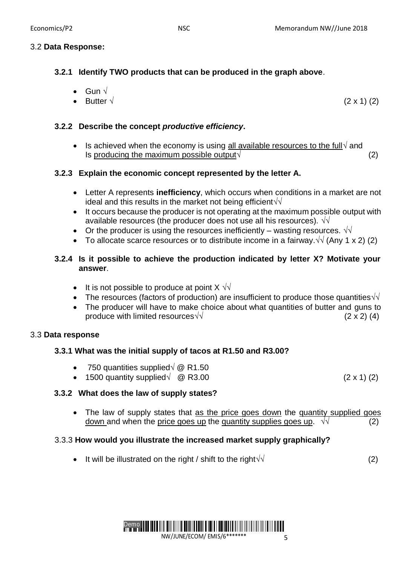**3.2.1 Identify TWO products that can be produced in the graph above**.

\n- Gun 
$$
\sqrt{}
$$
\n- Butter  $\sqrt{}$
\n- (2 x 1) (2)
\n

### **3.2.2 Describe the concept** *productive efficiency***.**

Is achieved when the economy is using all available resources to the full $\sqrt{2}$  and Is producing the maximum possible output $\sqrt{2}$ 

## **3.2.3 Explain the economic concept represented by the letter A.**

- Letter A represents **inefficiency**, which occurs when conditions in a market are not ideal and this results in the market not being efficient√√
- It occurs because the producer is not operating at the maximum possible output with available resources (the producer does not use all his resources).  $\sqrt{d}$
- Or the producer is using the resources inefficiently wasting resources.  $\sqrt{d}$
- To allocate scarce resources or to distribute income in a fairway.√√ (Any 1 x 2) (2)

### **3.2.4 Is it possible to achieve the production indicated by letter X? Motivate your answer**.

- It is not possible to produce at point  $X \sqrt{y}$
- The resources (factors of production) are insufficient to produce those quantities $\sqrt{\sqrt{ }}$
- The producer will have to make choice about what quantities of butter and guns to produce with limited resources√√  $(2 \times 2)$  (4)

### 3.3 **Data response**

## **3.3.1 What was the initial supply of tacos at R1.50 and R3.00?**

- 750 quantities supplied√ @ R1.50
- $\bullet$  1500 quantity supplied√ @ R3.00 (2 x 1) (2)

## **3.3.2 What does the law of supply states?**

• The law of supply states that as the price goes down the quantity supplied goes down and when the price goes up the quantity supplies goes up.  $\sqrt{v}$  (2)

### 3.3.3 **How would you illustrate the increased market supply graphically?**

It will be illustrated on the right / shift to the right $\sqrt{\sqrt{2}}$ 

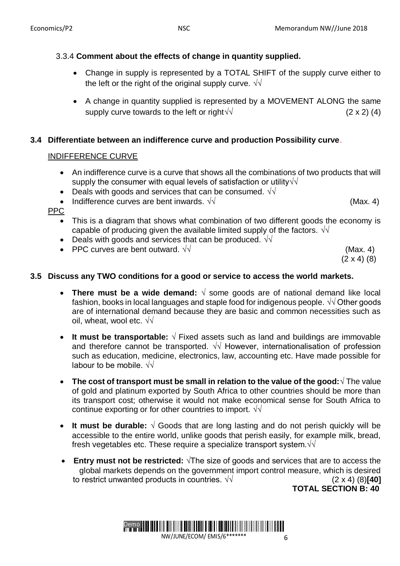# 3.3.4 **Comment about the effects of change in quantity supplied.**

- Change in supply is represented by a TOTAL SHIFT of the supply curve either to the left or the right of the original supply curve.  $\sqrt{\sqrt{2}}$
- A change in quantity supplied is represented by a MOVEMENT ALONG the same supply curve towards to the left or right√ $\sqrt{\frac{2 \times 2 (4)}}$

# **3.4 Differentiate between an indifference curve and production Possibility curve**.

# INDIFFERENCE CURVE

- An indifference curve is a curve that shows all the combinations of two products that will supply the consumer with equal levels of satisfaction or utility√√
- Deals with goods and services that can be consumed.  $\sqrt{v}$
- Indifference curves are bent inwards.  $\sqrt{\sqrt{ }}$  (Max. 4)

PPC

- This is a diagram that shows what combination of two different goods the economy is capable of producing given the available limited supply of the factors.  $\sqrt{d}$
- Deals with goods and services that can be produced.  $\sqrt{d}$
- PPC curves are bent outward.  $\sqrt{\sqrt{2}}$  example 2011 and 2012 (Max. 4)

 $(2 \times 4)$  (8)

# **3.5 Discuss any TWO conditions for a good or service to access the world markets.**

- **There must be a wide demand:** √ some goods are of national demand like local fashion, books in local languages and staple food for indigenous people.  $\sqrt{d}$  Other goods are of international demand because they are basic and common necessities such as oil, wheat, wool etc.  $\sqrt{\sqrt{2}}$
- **It must be transportable:** √ Fixed assets such as land and buildings are immovable and therefore cannot be transported. √√ However, internationalisation of profession such as education, medicine, electronics, law, accounting etc. Have made possible for labour to be mobile.  $\sqrt{\sqrt{2}}$
- **The cost of transport must be small in relation to the value of the good:**√ The value of gold and platinum exported by South Africa to other countries should be more than its transport cost; otherwise it would not make economical sense for South Africa to continue exporting or for other countries to import.  $\sqrt{\sqrt{ }}$
- **It must be durable:** √ Goods that are long lasting and do not perish quickly will be accessible to the entire world, unlike goods that perish easily, for example milk, bread, fresh vegetables etc. These require a specialize transport system. $\sqrt{\sqrt{}}$
- **Entry must not be restricted:** √The size of goods and services that are to access the global markets depends on the government import control measure, which is desired to restrict unwanted products in countries.  $\sqrt{2}$  x 4) (8)**[40]**

**TOTAL SECTION B: 40**

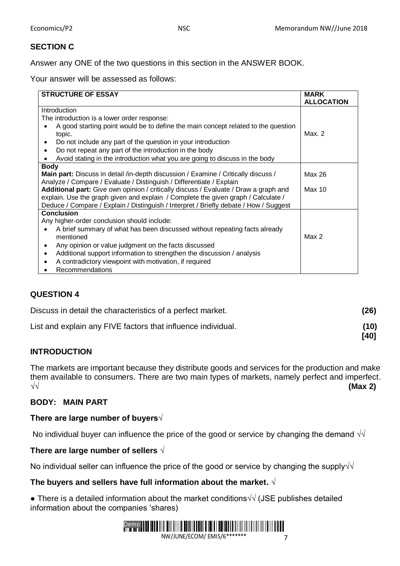### **SECTION C**

Answer any ONE of the two questions in this section in the ANSWER BOOK.

Your answer will be assessed as follows:

| <b>STRUCTURE OF ESSAY</b>                                                             | <b>MARK</b>       |
|---------------------------------------------------------------------------------------|-------------------|
|                                                                                       | <b>ALLOCATION</b> |
| Introduction                                                                          |                   |
| The introduction is a lower order response:                                           |                   |
| A good starting point would be to define the main concept related to the question     |                   |
| topic.                                                                                | Max. 2            |
| Do not include any part of the question in your introduction                          |                   |
| Do not repeat any part of the introduction in the body                                |                   |
| Avoid stating in the introduction what you are going to discuss in the body           |                   |
| <b>Body</b>                                                                           |                   |
| Main part: Discuss in detail /in-depth discussion / Examine / Critically discuss /    | Max 26            |
| Analyze / Compare / Evaluate / Distinguish / Differentiate / Explain                  |                   |
| Additional part: Give own opinion / critically discuss / Evaluate / Draw a graph and  | Max 10            |
| explain. Use the graph given and explain / Complete the given graph / Calculate /     |                   |
| Deduce / Compare / Explain / Distinguish / Interpret / Briefly debate / How / Suggest |                   |
| <b>Conclusion</b>                                                                     |                   |
| Any higher-order conclusion should include:                                           |                   |
| A brief summary of what has been discussed without repeating facts already            |                   |
| mentioned                                                                             | Max 2             |
| Any opinion or value judgment on the facts discussed<br>$\bullet$                     |                   |
| Additional support information to strengthen the discussion / analysis                |                   |
| A contradictory viewpoint with motivation, if required                                |                   |
| <b>Recommendations</b>                                                                |                   |

### **QUESTION 4**

| Discuss in detail the characteristics of a perfect market.   | (26)         |
|--------------------------------------------------------------|--------------|
| List and explain any FIVE factors that influence individual. | (10)<br>[40] |

### **INTRODUCTION**

The markets are important because they distribute goods and services for the production and make them available to consumers. There are two main types of markets, namely perfect and imperfect. √√ **(Max 2)**

### **BODY: MAIN PART**

#### **There are large number of buyers√**

No individual buyer can influence the price of the good or service by changing the demand  $\sqrt{\sqrt{2}}$ 

#### **There are large number of sellers** √

No individual seller can influence the price of the good or service by changing the supply $\sqrt{\sqrt{2}}$ 

### **The buyers and sellers have full information about the market.** √

• There is a detailed information about the market conditions $\sqrt{\sqrt{ }}$  (JSE publishes detailed information about the companies 'shares)

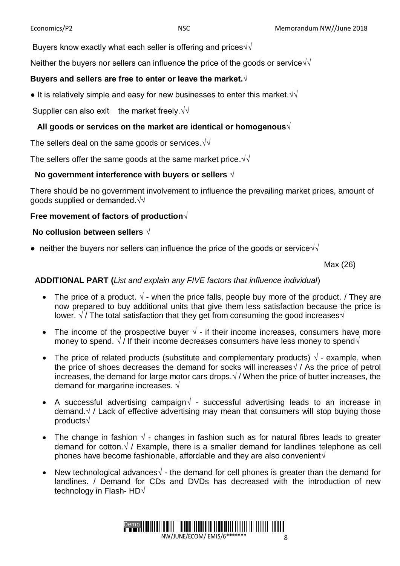Buyers know exactly what each seller is offering and prices $\sqrt{\sqrt{ }}$ 

Neither the buyers nor sellers can influence the price of the goods or service√√

#### **Buyers and sellers are free to enter or leave the market.√**

 $\bullet$  It is relatively simple and easy for new businesses to enter this market. $\sqrt{\sqrt{2}}$ 

Supplier can also exit the market freely. $\sqrt{\sqrt{}}$ 

### **All goods or services on the market are identical or homogenous√**

The sellers deal on the same goods or services.√√

The sellers offer the same goods at the same market price.√√

#### **No government interference with buyers or sellers** √

There should be no government involvement to influence the prevailing market prices, amount of goods supplied or demanded.√√

### **Free movement of factors of production√**

#### **No collusion between sellers** √

• neither the buyers nor sellers can influence the price of the goods or service $\sqrt{\sqrt{ }}$ 

Max (26)

#### **ADDITIONAL PART (***List and explain any FIVE factors that influence individual*)

- The price of a product.  $\sqrt{ }$  when the price falls, people buy more of the product. / They are now prepared to buy additional units that give them less satisfaction because the price is lower.  $\sqrt{7}$  / The total satisfaction that they get from consuming the good increases $\sqrt{7}$
- The income of the prospective buyer  $\sqrt{ }$  if their income increases, consumers have more money to spend.  $\sqrt{}/$  If their income decreases consumers have less money to spend $\sqrt{}$
- The price of related products (substitute and complementary products)  $\sqrt{\ }$  example, when the price of shoes decreases the demand for socks will increases√ / As the price of petrol increases, the demand for large motor cars drops. $\sqrt{\ }$  When the price of butter increases, the demand for margarine increases.  $\sqrt{ }$
- A successful advertising campaign√ successful advertising leads to an increase in demand.√ / Lack of effective advertising may mean that consumers will stop buying those products√
- The change in fashion  $\sqrt{ }$  changes in fashion such as for natural fibres leads to greater demand for cotton. $\sqrt{}$  / Example, there is a smaller demand for landlines telephone as cell phones have become fashionable, affordable and they are also convenient $\sqrt{ }$
- New technological advances $\sqrt{ }$  the demand for cell phones is greater than the demand for landlines. / Demand for CDs and DVDs has decreased with the introduction of new technology in Flash- HD√

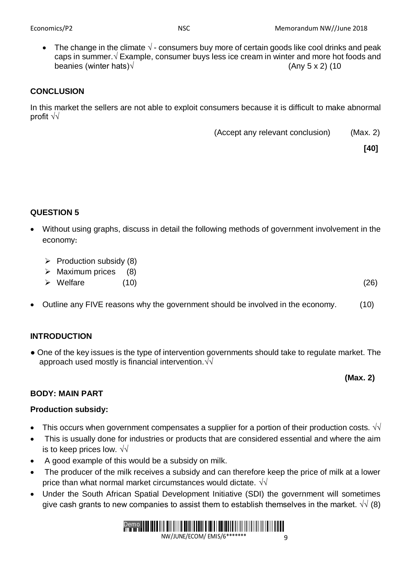The change in the climate  $\sqrt{ }$ - consumers buy more of certain goods like cool drinks and peak caps in summer.√ Example, consumer buys less ice cream in winter and more hot foods and beanies (winter hats) $\sqrt{ }$  (Any 5 x 2) (10

### **CONCLUSION**

In this market the sellers are not able to exploit consumers because it is difficult to make abnormal profit √√

(Accept any relevant conclusion) (Max. 2)

**[40]**

### **QUESTION 5**

- Without using graphs, discuss in detail the following methods of government involvement in the economy**:** 
	- $\triangleright$  Production subsidy (8)
	- $\triangleright$  Maximum prices (8)
	- $\triangleright$  Welfare (10) (26)
- Outline any FIVE reasons why the government should be involved in the economy. (10)

### **INTRODUCTION**

● One of the key issues is the type of intervention governments should take to regulate market. The approach used mostly is financial intervention.√√

**(Max. 2)**

## **BODY: MAIN PART**

### **Production subsidy:**

- This occurs when government compensates a supplier for a portion of their production costs.  $\sqrt{v}$
- This is usually done for industries or products that are considered essential and where the aim is to keep prices low.  $\sqrt{\sqrt{2}}$
- A good example of this would be a subsidy on milk.
- The producer of the milk receives a subsidy and can therefore keep the price of milk at a lower price than what normal market circumstances would dictate.  $\sqrt{\sqrt{2}}$
- Under the South African Spatial Development Initiative (SDI) the government will sometimes give cash grants to new companies to assist them to establish themselves in the market.  $\sqrt{9}$  (8)

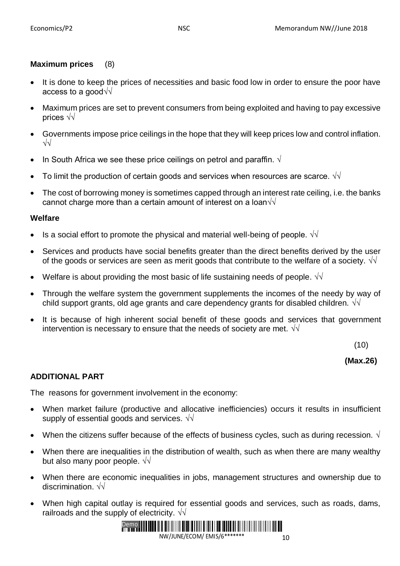### **Maximum prices** (8)

- It is done to keep the prices of necessities and basic food low in order to ensure the poor have access to a good√√
- Maximum prices are set to prevent consumers from being exploited and having to pay excessive prices √√
- Governments impose price ceilings in the hope that they will keep prices low and control inflation. √√
- In South Africa we see these price ceilings on petrol and paraffin.  $\sqrt{ }$
- To limit the production of certain goods and services when resources are scarce.  $\sqrt{\sqrt{}}$
- The cost of borrowing money is sometimes capped through an interest rate ceiling, i.e. the banks cannot charge more than a certain amount of interest on a loan $\sqrt{\sqrt{2}}$

#### **Welfare**

- Is a social effort to promote the physical and material well-being of people.  $\sqrt{\sqrt{}}$
- Services and products have social benefits greater than the direct benefits derived by the user of the goods or services are seen as merit goods that contribute to the welfare of a society.  $\sqrt{d}$
- Welfare is about providing the most basic of life sustaining needs of people. √√
- Through the welfare system the government supplements the incomes of the needy by way of child support grants, old age grants and care dependency grants for disabled children.  $\sqrt{d}$
- It is because of high inherent social benefit of these goods and services that government intervention is necessary to ensure that the needs of society are met.  $\sqrt{\sqrt{2}}$

(10)

#### **(Max.26)**

#### **ADDITIONAL PART**

The reasons for government involvement in the economy:

- When market failure (productive and allocative inefficiencies) occurs it results in insufficient supply of essential goods and services.  $\sqrt{\sqrt{2}}$
- When the citizens suffer because of the effects of business cycles, such as during recession. √
- When there are inequalities in the distribution of wealth, such as when there are many wealthy but also many poor people.  $\sqrt{\sqrt{2}}$
- When there are economic inequalities in jobs, management structures and ownership due to discrimination. √√
- When high capital outlay is required for essential goods and services, such as roads, dams, railroads and the supply of electricity.  $\sqrt{\sqrt{2}}$

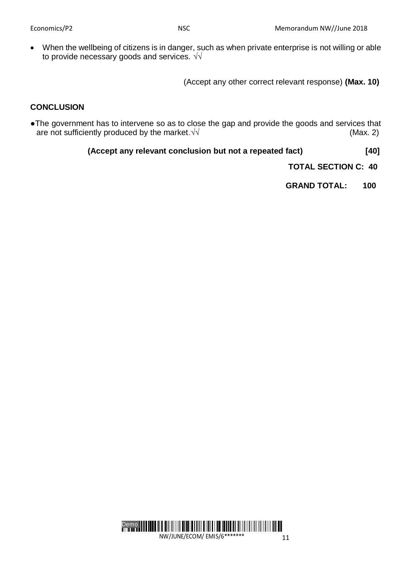When the wellbeing of citizens is in danger, such as when private enterprise is not willing or able to provide necessary goods and services. √√

(Accept any other correct relevant response) **(Max. 10)**

### **CONCLUSION**

●The government has to intervene so as to close the gap and provide the goods and services that are not sufficiently produced by the market.  $\sqrt{\sqrt{ }}$  (Max. 2)

 **(Accept any relevant conclusion but not a repeated fact) [40]**

 **TOTAL SECTION C: 40**

 **GRAND TOTAL: 100**